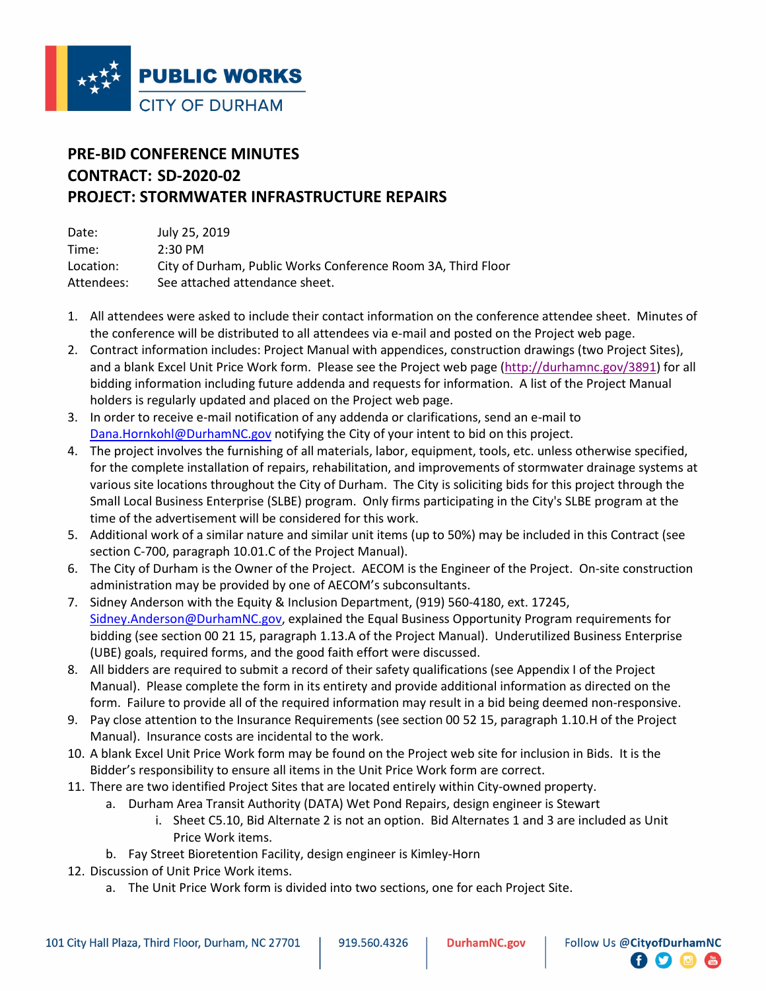

## **PRE-BID CONFERENCE MINUTES CONTRACT: SD-2020-02 PROJECT: STORMWATER INFRASTRUCTURE REPAIRS**

| Date:      | July 25, 2019                                                |
|------------|--------------------------------------------------------------|
| Time:      | $2:30 \text{ PM}$                                            |
| Location:  | City of Durham, Public Works Conference Room 3A, Third Floor |
| Attendees: | See attached attendance sheet.                               |

- 1. All attendees were asked to include their contact information on the conference attendee sheet. Minutes of the conference will be distributed to all attendees via e-mail and posted on the Project web page.
- 2. Contract information includes: Project Manual with appendices, construction drawings (two Project Sites), and a blank Excel Unit Price Work form. Please see the Project web page (http://durhamnc.gov/3891) for all bidding information including future addenda and requests for information. A list of the Project Manual holders is regularly updated and placed on the Project web page.
- 3. In order to receive e-mail notification of any addenda or clarifications, send an e-mail to Dana.Hornkohl@DurhamNC.gov notifying the City of your intent to bid on this project.
- 4. The project involves the furnishing of all materials, labor, equipment, tools, etc. unless otherwise specified, for the complete installation of repairs, rehabilitation, and improvements of stormwater drainage systems at various site locations throughout the City of Durham. The City is soliciting bids for this project through the Small Local Business Enterprise (SLBE) program. Only firms participating in the City's SLBE program at the time of the advertisement will be considered for this work.
- 5. Additional work of a similar nature and similar unit items (up to 50%) may be included in this Contract (see section C-700, paragraph 10.01.C of the Project Manual).
- 6. The City of Durham is the Owner of the Project. AECOM is the Engineer of the Project. On-site construction administration may be provided by one of AECOM's subconsultants.
- 7. Sidney Anderson with the Equity & Inclusion Department, (919) 560-4180, ext. 17245, Sidney.Anderson@DurhamNC.gov, explained the Equal Business Opportunity Program requirements for bidding (see section 00 21 15, paragraph 1.13.A of the Project Manual). Underutilized Business Enterprise (UBE) goals, required forms, and the good faith effort were discussed.
- 8. All bidders are required to submit a record of their safety qualifications (see Appendix I of the Project Manual). Please complete the form in its entirety and provide additional information as directed on the form. Failure to provide all of the required information may result in a bid being deemed non-responsive.
- 9. Pay close attention to the Insurance Requirements (see section 00 52 15, paragraph 1.10.H of the Project Manual). Insurance costs are incidental to the work.
- 10. A blank Excel Unit Price Work form may be found on the Project web site for inclusion in Bids. It is the Bidder's responsibility to ensure all items in the Unit Price Work form are correct.
- 11. There are two identified Project Sites that are located entirely within City-owned property.
	- a. Durham Area Transit Authority (DATA) Wet Pond Repairs, design engineer is Stewart
		- i. Sheet C5.10, Bid Alternate 2 is not an option. Bid Alternates 1 and 3 are included as Unit Price Work items.
	- b. Fay Street Bioretention Facility, design engineer is Kimley-Horn
- 12. Discussion of Unit Price Work items.
	- a. The Unit Price Work form is divided into two sections, one for each Project Site.

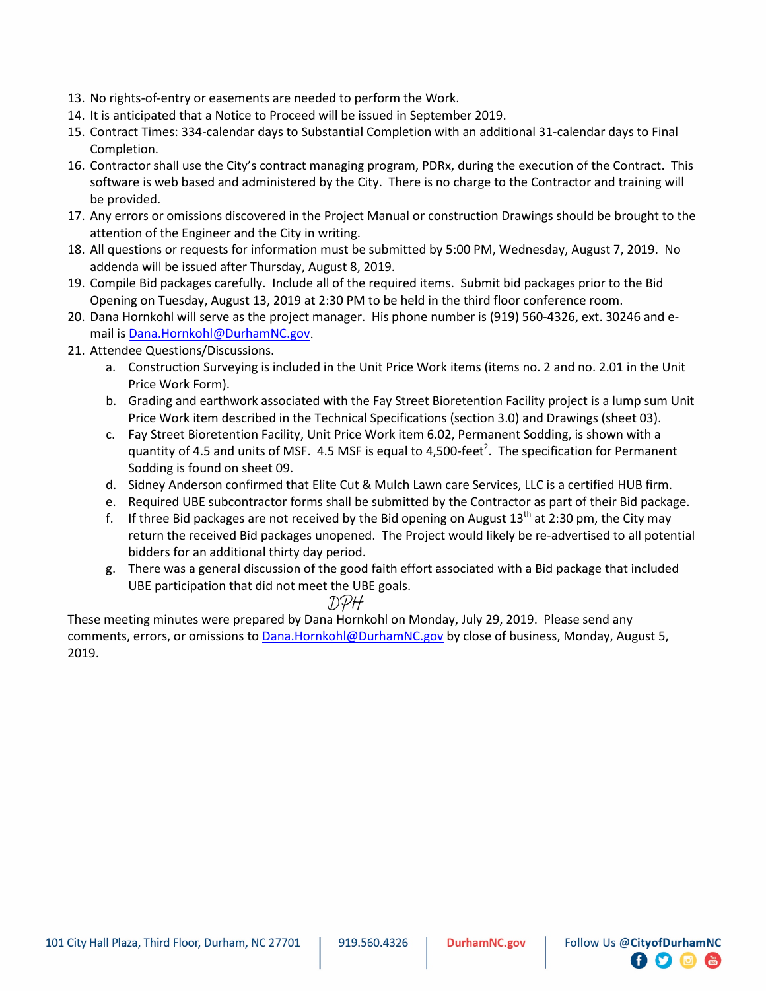- 13. No rights-of-entry or easements are needed to perform the Work.
- 14. It is anticipated that a Notice to Proceed will be issued in September 2019.
- 15. Contract Times: 334-calendar days to Substantial Completion with an additional 31-calendar days to Final Completion.
- 16. Contractor shall use the City's contract managing program, PDRx, during the execution of the Contract. This software is web based and administered by the City. There is no charge to the Contractor and training will be provided.
- 17. Any errors or omissions discovered in the Project Manual or construction Drawings should be brought to the attention of the Engineer and the City in writing.
- 18. All questions or requests for information must be submitted by 5:00 PM, Wednesday, August 7, 2019. No addenda will be issued after Thursday, August 8, 2019.
- 19. Compile Bid packages carefully. Include all of the required items. Submit bid packages prior to the Bid Opening on Tuesday, August 13, 2019 at 2:30 PM to be held in the third floor conference room.
- 20. Dana Hornkohl will serve as the project manager. His phone number is (919) 560-4326, ext. 30246 and email is Dana.Hornkohl@DurhamNC.gov.
- 21. Attendee Questions/Discussions.
	- a. Construction Surveying is included in the Unit Price Work items (items no. 2 and no. 2.01 in the Unit Price Work Form).
	- b. Grading and earthwork associated with the Fay Street Bioretention Facility project is a lump sum Unit Price Work item described in the Technical Specifications (section 3.0) and Drawings (sheet 03).
	- c. Fay Street Bioretention Facility, Unit Price Work item 6.02, Permanent Sodding, is shown with a quantity of 4.5 and units of MSF. 4.5 MSF is equal to 4,500-feet<sup>2</sup>. The specification for Permanent Sodding is found on sheet 09.
	- d. Sidney Anderson confirmed that Elite Cut & Mulch Lawn care Services, LLC is a certified HUB firm.
	- e. Required UBE subcontractor forms shall be submitted by the Contractor as part of their Bid package.
	- f. If three Bid packages are not received by the Bid opening on August  $13<sup>th</sup>$  at 2:30 pm, the City may return the received Bid packages unopened. The Project would likely be re-advertised to all potential bidders for an additional thirty day period.
	- g. There was a general discussion of the good faith effort associated with a Bid package that included UBE participation that did not meet the UBE goals.

## DPH

These meeting minutes were prepared by Dana Hornkohl on Monday, July 29, 2019. Please send any comments, errors, or omissions to Dana.Hornkohl@DurhamNC.gov by close of business, Monday, August 5, 2019.

日子同面